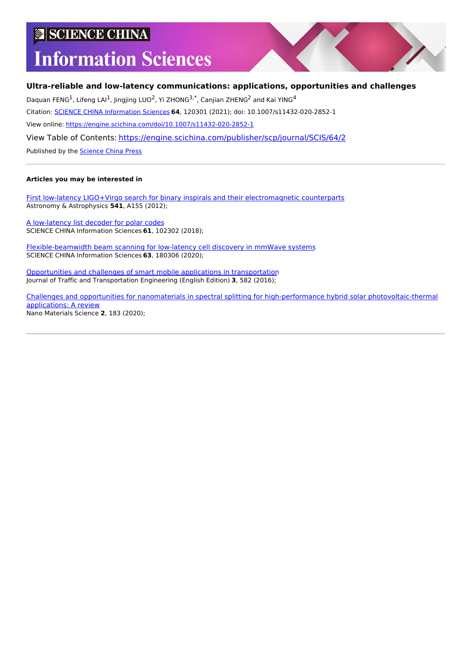# **SCIENCE CHINA**

# **Information Sciences**

# **Ultra-reliable and low-latency communications: applications, opportunities and challenges**

Daquan FENG<sup>1</sup>, Lifeng LAI<sup>1</sup>, Jingjing LUO<sup>2</sup>, Yi ZHONG<sup>3,\*</sup>, Canjian ZHENG<sup>2</sup> and Kai YING<sup>4</sup>

Citation: SCIENCE CHINA [Information](https://engine.scichina.com/publisher/scp/journal/SCIS) Sciences **64**, 120301 (2021); doi: 10.1007/s11432-020-2852-1

View online: <https://engine.scichina.com/doi/10.1007/s11432-020-2852-1>

View Table of Contents: <https://engine.scichina.com/publisher/scp/journal/SCIS/64/2>

Published by the [Science](https://engine.scichina.com/publisher/scp) China Press

#### **Articles you may be interested in**

First low-latency LIGO+Virgo search for binary inspirals and their [electromagnetic](https://engine.scichina.com/doi/10.1051/0004-6361/201218860) counterparts Astronomy & Astrophysics **541**, A155 (2012);

A [low-latency](https://engine.scichina.com/doi/10.1007/s11432-017-9312-9) list decoder for polar codes SCIENCE CHINA Information Sciences **61**, 102302 (2018);

[Flexible-beamwidth](https://engine.scichina.com/doi/10.1007/s11432-020-2922-2) beam scanning for low-latency cell discovery in mmWave systems SCIENCE CHINA Information Sciences **63**, 180306 (2020);

[Opportunities](https://engine.scichina.com/doi/10.1016/j.jtte.2016.11.001) and challenges of smart mobile applications in transportation Journal of Traffic and Transportation Engineering (English Edition) **3**, 582 (2016);

Challenges and opportunities for nanomaterials in spectral splitting for high-performance hybrid solar [photovoltaic-thermal](https://engine.scichina.com/doi/10.1016/j.nanoms.2020.03.008) applications: A review Nano Materials Science **2**, 183 (2020);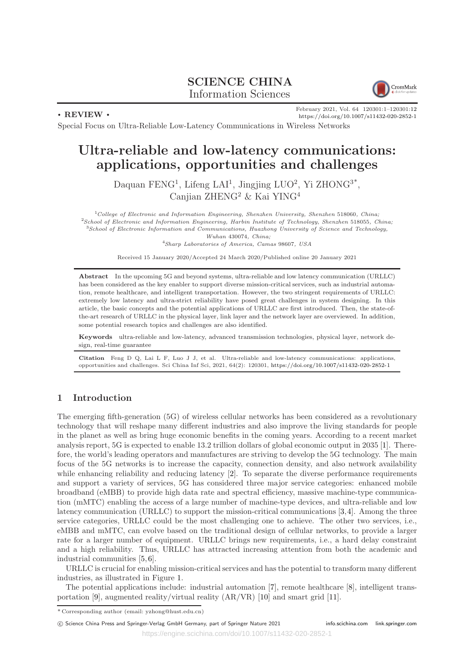# SCIENCE CHINA Information Sciences



. REVIEW .

February 2021, Vol. 64 120301:1–120301:12 <https://doi.org/10.1007/s11432-020-2852-1>

Special Focus on Ultra-Reliable Low-Latency Communications in Wireless Networks

# Ultra-reliable and low-latency communications: applications, opportunities and challenges

Daquan FENG<sup>1</sup>, Lifeng LAI<sup>1</sup>, Jingjing LUO<sup>2</sup>, Yi ZHONG<sup>3\*</sup>, Canjian ZHENG<sup>2</sup> & Kai YING<sup>4</sup>

 $1$ College of Electronic and Information Engineering, Shenzhen University, Shenzhen 518060, China;  $^{2}$ School of Electronic and Information Engineering, Harbin Institute of Technology, Shenzhen 518055, China; <sup>3</sup>School of Electronic Information and Communications, Huazhong University of Science and Technology, Wuhan 430074, China; <sup>4</sup>Sharp Laboratories of America, Camas 98607, USA

Received 15 January 2020/Accepted 24 March 2020/Published online 20 January 2021

Abstract In the upcoming 5G and beyond systems, ultra-reliable and low latency communication (URLLC) has been considered as the key enabler to support diverse mission-critical services, such as industrial automation, remote healthcare, and intelligent transportation. However, the two stringent requirements of URLLC: extremely low latency and ultra-strict reliability have posed great challenges in system designing. In this article, the basic concepts and the potential applications of URLLC are first introduced. Then, the state-ofthe-art research of URLLC in the physical layer, link layer and the network layer are overviewed. In addition, some potential research topics and challenges are also identified.

Keywords ultra-reliable and low-latency, advanced transmission technologies, physical layer, network design, real-time guarantee

Citation Feng D Q, Lai L F, Luo J J, et al. Ultra-reliable and low-latency communications: applications, opportunities and challenges. Sci China Inf Sci, 2021, 64(2): 120301, <https://doi.org/10.1007/s11432-020-2852-1>

## 1 Introduction

The emerging fifth-generation (5G) of wireless cellular networks has been considered as a revolutionary technology that will reshape many different industries and also improve the living standards for people in the planet as well as bring huge economic benefits in the coming years. According to a recent market analysis report, 5G is expected to enable 13.2 trillion dollars of global economic output in 2035 [1]. Therefore, the world's leading operators and manufactures are striving to develop the 5G technology. The main focus of the 5G networks is to increase the capacity, connection density, and also network availability while enhancing reliability and reducing latency [2]. To separate the diverse performance requirements and support a variety of services, 5G has considered three major service categories: enhanced mobile broadband (eMBB) to provide high data rate and spectral efficiency, massive machine-type communication (mMTC) enabling the access of a large number of machine-type devices, and ultra-reliable and low latency communication (URLLC) to support the mission-critical communications [3,4]. Among the three service categories, URLLC could be the most challenging one to achieve. The other two services, i.e., eMBB and mMTC, can evolve based on the traditional design of cellular networks, to provide a larger rate for a larger number of equipment. URLLC brings new requirements, i.e., a hard delay constraint and a high reliability. Thus, URLLC has attracted increasing attention from both the academic and industrial communities [5, 6].

URLLC is crucial for enabling mission-critical services and has the potential to transform many different industries, as illustrated in Figure 1.

The potential applications include: industrial automation [7], remote healthcare [8], intelligent transportation [9], augmented reality/virtual reality (AR/VR) [10] and smart grid [11].

<sup>\*</sup> Corresponding author (email: yzhong@hust.edu.cn)

c Science China Press and Springer-Verlag GmbH Germany, part of Springer Nature 2021 <info.scichina.com><link.springer.com>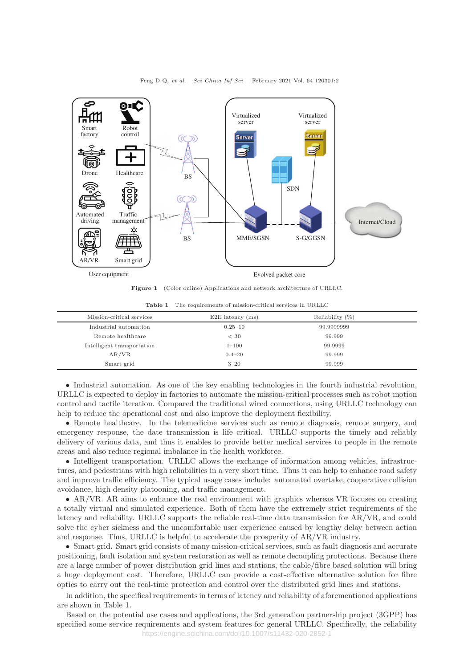

Figure 1 (Color online) Applications and network architecture of URLLC.

Table 1 The requirements of mission-critical services in URLLC

| Mission-critical services  | $E2E$ latency $(ms)$ | Reliability $(\%)$ |  |
|----------------------------|----------------------|--------------------|--|
| Industrial automation      | $0.25 - 10$          | 99.9999999         |  |
| Remote healthcare          | < 30                 | 99.999             |  |
| Intelligent transportation | $1 - 100$            | 99.9999            |  |
| AR/VR                      | $0.4 - 20$           | 99.999             |  |
| Smart grid                 | $3 - 20$             | 99.999             |  |

• Industrial automation. As one of the key enabling technologies in the fourth industrial revolution, URLLC is expected to deploy in factories to automate the mission-critical processes such as robot motion control and tactile iteration. Compared the traditional wired connections, using URLLC technology can help to reduce the operational cost and also improve the deployment flexibility.

• Remote healthcare. In the telemedicine services such as remote diagnosis, remote surgery, and emergency response, the date transmission is life critical. URLLC supports the timely and reliably delivery of various data, and thus it enables to provide better medical services to people in the remote areas and also reduce regional imbalance in the health workforce.

• Intelligent transportation. URLLC allows the exchange of information among vehicles, infrastructures, and pedestrians with high reliabilities in a very short time. Thus it can help to enhance road safety and improve traffic efficiency. The typical usage cases include: automated overtake, cooperative collision avoidance, high density platooning, and traffic management.

• AR/VR. AR aims to enhance the real environment with graphics whereas VR focuses on creating a totally virtual and simulated experience. Both of them have the extremely strict requirements of the latency and reliability. URLLC supports the reliable real-time data transmission for AR/VR, and could solve the cyber sickness and the uncomfortable user experience caused by lengthy delay between action and response. Thus, URLLC is helpful to accelerate the prosperity of AR/VR industry.

• Smart grid. Smart grid consists of many mission-critical services, such as fault diagnosis and accurate positioning, fault isolation and system restoration as well as remote decoupling protections. Because there are a large number of power distribution grid lines and stations, the cable/fibre based solution will bring a huge deployment cost. Therefore, URLLC can provide a cost-effective alternative solution for fibre optics to carry out the real-time protection and control over the distributed grid lines and stations.

In addition, the specifical requirements in terms of latency and reliability of aforementioned applications are shown in Table 1.

Based on the potential use cases and applications, the 3rd generation partnership project (3GPP) has specified some service requirements and system features for general URLLC. Specifically, the reliability

https://engine.scichina.com/doi/10.1007/s11432-020-2852-1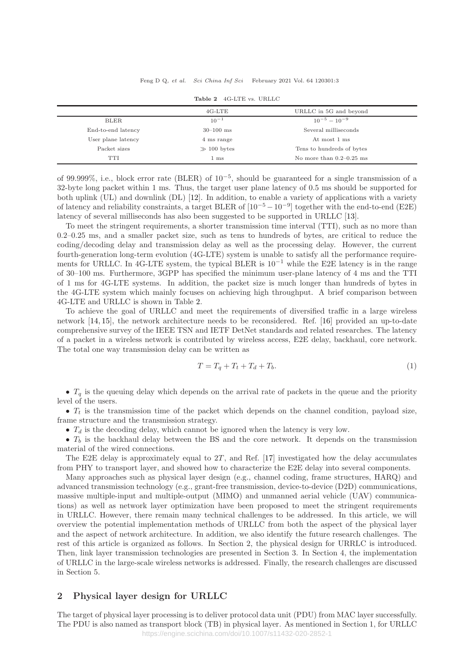Feng D Q, et al. Sci China Inf Sci February 2021 Vol. 64 120301:3

|                    | $4G-LTE$        | URLLC in 5G and beyond     |  |
|--------------------|-----------------|----------------------------|--|
| <b>BLER</b>        | $10^{-1}$       | $10^{-5} - 10^{-9}$        |  |
| End-to-end latency | $30 - 100$ ms   | Several milliseconds       |  |
| User plane latency | 4 ms range      | At most 1 ms               |  |
| Packet sizes       | $\gg 100$ bytes | Tens to hundreds of bytes  |  |
| <b>TTI</b>         | 1 ms            | No more than $0.2-0.25$ ms |  |

Table 2 4G-LTE vs. URLLC

of 99.999%, i.e., block error rate (BLER) of 10−<sup>5</sup> , should be guaranteed for a single transmission of a 32-byte long packet within 1 ms. Thus, the target user plane latency of 0.5 ms should be supported for both uplink (UL) and downlink (DL) [12]. In addition, to enable a variety of applications with a variety of latency and reliability constraints, a target BLER of  $[10^{-5} - 10^{-9}]$  together with the end-to-end (E2E) latency of several milliseconds has also been suggested to be supported in URLLC [13].

To meet the stringent requirements, a shorter transmission time interval (TTI), such as no more than 0.2–0.25 ms, and a smaller packet size, such as tens to hundreds of bytes, are critical to reduce the coding/decoding delay and transmission delay as well as the processing delay. However, the current fourth-generation long-term evolution (4G-LTE) system is unable to satisfy all the performance requirements for URLLC. In 4G-LTE system, the typical BLER is  $10^{-1}$  while the E2E latency is in the range of 30–100 ms. Furthermore, 3GPP has specified the minimum user-plane latency of 4 ms and the TTI of 1 ms for 4G-LTE systems. In addition, the packet size is much longer than hundreds of bytes in the 4G-LTE system which mainly focuses on achieving high throughput. A brief comparison between 4G-LTE and URLLC is shown in Table 2.

To achieve the goal of URLLC and meet the requirements of diversified traffic in a large wireless network [14, 15], the network architecture needs to be reconsidered. Ref. [16] provided an up-to-date comprehensive survey of the IEEE TSN and IETF DetNet standards and related researches. The latency of a packet in a wireless network is contributed by wireless access, E2E delay, backhaul, core network. The total one way transmission delay can be written as

$$
T = T_q + T_t + T_d + T_b. \tag{1}
$$

•  $T_q$  is the queuing delay which depends on the arrival rate of packets in the queue and the priority level of the users.

•  $T_t$  is the transmission time of the packet which depends on the channel condition, payload size, frame structure and the transmission strategy.

•  $T_d$  is the decoding delay, which cannot be ignored when the latency is very low.

•  $T_b$  is the backhaul delay between the BS and the core network. It depends on the transmission material of the wired connections.

The E2E delay is approximately equal to  $2T$ , and Ref. [17] investigated how the delay accumulates from PHY to transport layer, and showed how to characterize the E2E delay into several components.

Many approaches such as physical layer design (e.g., channel coding, frame structures, HARQ) and advanced transmission technology (e.g., grant-free transmission, device-to-device (D2D) communications, massive multiple-input and multiple-output (MIMO) and unmanned aerial vehicle (UAV) communications) as well as network layer optimization have been proposed to meet the stringent requirements in URLLC. However, there remain many technical challenges to be addressed. In this article, we will overview the potential implementation methods of URLLC from both the aspect of the physical layer and the aspect of network architecture. In addition, we also identify the future research challenges. The rest of this article is organized as follows. In Section 2, the physical design for URRLC is introduced. Then, link layer transmission technologies are presented in Section 3. In Section 4, the implementation of URLLC in the large-scale wireless networks is addressed. Finally, the research challenges are discussed in Section 5.

## 2 Physical layer design for URLLC

The target of physical layer processing is to deliver protocol data unit (PDU) from MAC layer successfully. The PDU is also named as transport block (TB) in physical layer. As mentioned in Section 1, for URLLC https://engine.scichina.com/doi/10.1007/s11432-020-2852-1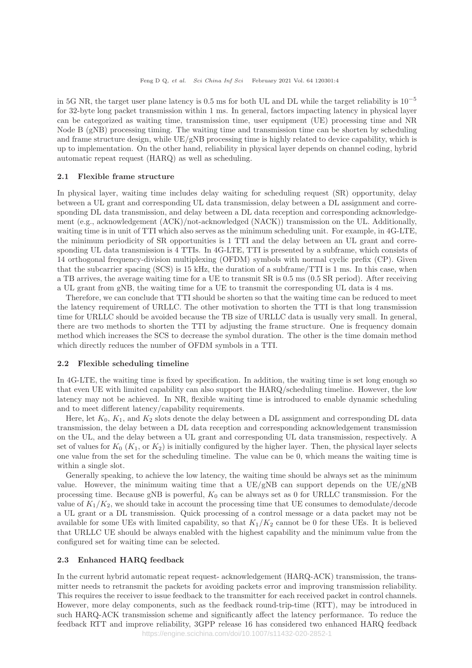in 5G NR, the target user plane latency is 0.5 ms for both UL and DL while the target reliability is  $10^{-5}$ for 32-byte long packet transmission within 1 ms. In general, factors impacting latency in physical layer can be categorized as waiting time, transmission time, user equipment (UE) processing time and NR Node B (gNB) processing timing. The waiting time and transmission time can be shorten by scheduling and frame structure design, while  $UE/gNB$  processing time is highly related to device capability, which is up to implementation. On the other hand, reliability in physical layer depends on channel coding, hybrid automatic repeat request (HARQ) as well as scheduling.

#### 2.1 Flexible frame structure

In physical layer, waiting time includes delay waiting for scheduling request (SR) opportunity, delay between a UL grant and corresponding UL data transmission, delay between a DL assignment and corresponding DL data transmission, and delay between a DL data reception and corresponding acknowledgement (e.g., acknowledgement (ACK)/not-acknowledged (NACK)) transmission on the UL. Additionally, waiting time is in unit of TTI which also serves as the minimum scheduling unit. For example, in 4G-LTE, the minimum periodicity of SR opportunities is 1 TTI and the delay between an UL grant and corresponding UL data transmission is 4 TTIs. In 4G-LTE, TTI is presented by a subframe, which consists of 14 orthogonal frequency-division multiplexing (OFDM) symbols with normal cyclic prefix (CP). Given that the subcarrier spacing (SCS) is 15 kHz, the duration of a subframe/TTI is 1 ms. In this case, when a TB arrives, the average waiting time for a UE to transmit SR is 0.5 ms (0.5 SR period). After receiving a UL grant from gNB, the waiting time for a UE to transmit the corresponding UL data is 4 ms.

Therefore, we can conclude that TTI should be shorten so that the waiting time can be reduced to meet the latency requirement of URLLC. The other motivation to shorten the TTI is that long transmission time for URLLC should be avoided because the TB size of URLLC data is usually very small. In general, there are two methods to shorten the TTI by adjusting the frame structure. One is frequency domain method which increases the SCS to decrease the symbol duration. The other is the time domain method which directly reduces the number of OFDM symbols in a TTI.

#### 2.2 Flexible scheduling timeline

In 4G-LTE, the waiting time is fixed by specification. In addition, the waiting time is set long enough so that even UE with limited capability can also support the HARQ/scheduling timeline. However, the low latency may not be achieved. In NR, flexible waiting time is introduced to enable dynamic scheduling and to meet different latency/capability requirements.

Here, let  $K_0$ ,  $K_1$ , and  $K_2$  slots denote the delay between a DL assignment and corresponding DL data transmission, the delay between a DL data reception and corresponding acknowledgement transmission on the UL, and the delay between a UL grant and corresponding UL data transmission, respectively. A set of values for  $K_0$  ( $K_1$ , or  $K_2$ ) is initially configured by the higher layer. Then, the physical layer selects one value from the set for the scheduling timeline. The value can be 0, which means the waiting time is within a single slot.

Generally speaking, to achieve the low latency, the waiting time should be always set as the minimum value. However, the minimum waiting time that a  $UE/gNB$  can support depends on the  $UE/gNB$ processing time. Because gNB is powerful,  $K_0$  can be always set as 0 for URLLC transmission. For the value of  $K_1/K_2$ , we should take in account the processing time that UE consumes to demodulate/decode a UL grant or a DL transmission. Quick processing of a control message or a data packet may not be available for some UEs with limited capability, so that  $K_1/K_2$  cannot be 0 for these UEs. It is believed that URLLC UE should be always enabled with the highest capability and the minimum value from the configured set for waiting time can be selected.

#### 2.3 Enhanced HARQ feedback

In the current hybrid automatic repeat request- acknowledgement (HARQ-ACK) transmission, the transmitter needs to retransmit the packets for avoiding packets error and improving transmission reliability. This requires the receiver to issue feedback to the transmitter for each received packet in control channels. However, more delay components, such as the feedback round-trip-time (RTT), may be introduced in such HARQ-ACK transmission scheme and significantly affect the latency performance. To reduce the feedback RTT and improve reliability, 3GPP release 16 has considered two enhanced HARQ feedback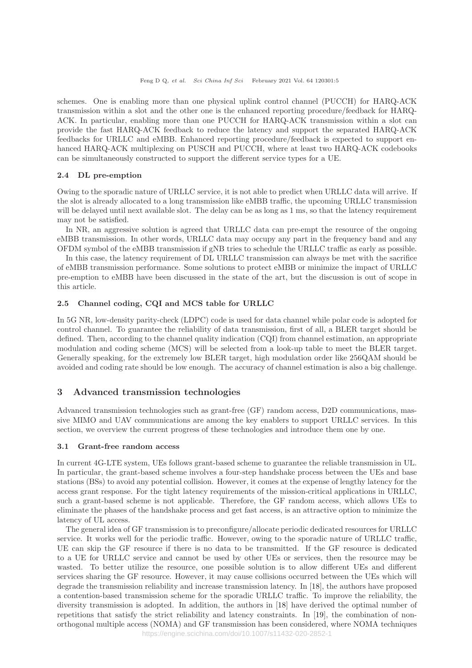schemes. One is enabling more than one physical uplink control channel (PUCCH) for HARQ-ACK transmission within a slot and the other one is the enhanced reporting procedure/feedback for HARQ-ACK. In particular, enabling more than one PUCCH for HARQ-ACK transmission within a slot can provide the fast HARQ-ACK feedback to reduce the latency and support the separated HARQ-ACK feedbacks for URLLC and eMBB. Enhanced reporting procedure/feedback is expected to support enhanced HARQ-ACK multiplexing on PUSCH and PUCCH, where at least two HARQ-ACK codebooks can be simultaneously constructed to support the different service types for a UE.

#### 2.4 DL pre-emption

Owing to the sporadic nature of URLLC service, it is not able to predict when URLLC data will arrive. If the slot is already allocated to a long transmission like eMBB traffic, the upcoming URLLC transmission will be delayed until next available slot. The delay can be as long as 1 ms, so that the latency requirement may not be satisfied.

In NR, an aggressive solution is agreed that URLLC data can pre-empt the resource of the ongoing eMBB transmission. In other words, URLLC data may occupy any part in the frequency band and any OFDM symbol of the eMBB transmission if gNB tries to schedule the URLLC traffic as early as possible.

In this case, the latency requirement of DL URLLC transmission can always be met with the sacrifice of eMBB transmission performance. Some solutions to protect eMBB or minimize the impact of URLLC pre-emption to eMBB have been discussed in the state of the art, but the discussion is out of scope in this article.

#### 2.5 Channel coding, CQI and MCS table for URLLC

In 5G NR, low-density parity-check (LDPC) code is used for data channel while polar code is adopted for control channel. To guarantee the reliability of data transmission, first of all, a BLER target should be defined. Then, according to the channel quality indication (CQI) from channel estimation, an appropriate modulation and coding scheme (MCS) will be selected from a look-up table to meet the BLER target. Generally speaking, for the extremely low BLER target, high modulation order like 256QAM should be avoided and coding rate should be low enough. The accuracy of channel estimation is also a big challenge.

#### 3 Advanced transmission technologies

Advanced transmission technologies such as grant-free (GF) random access, D2D communications, massive MIMO and UAV communications are among the key enablers to support URLLC services. In this section, we overview the current progress of these technologies and introduce them one by one.

#### 3.1 Grant-free random access

In current 4G-LTE system, UEs follows grant-based scheme to guarantee the reliable transmission in UL. In particular, the grant-based scheme involves a four-step handshake process between the UEs and base stations (BSs) to avoid any potential collision. However, it comes at the expense of lengthy latency for the access grant response. For the tight latency requirements of the mission-critical applications in URLLC, such a grant-based scheme is not applicable. Therefore, the GF random access, which allows UEs to eliminate the phases of the handshake process and get fast access, is an attractive option to minimize the latency of UL access.

The general idea of GF transmission is to preconfigure/allocate periodic dedicated resources for URLLC service. It works well for the periodic traffic. However, owing to the sporadic nature of URLLC traffic, UE can skip the GF resource if there is no data to be transmitted. If the GF resource is dedicated to a UE for URLLC service and cannot be used by other UEs or services, then the resource may be wasted. To better utilize the resource, one possible solution is to allow different UEs and different services sharing the GF resource. However, it may cause collisions occurred between the UEs which will degrade the transmission reliability and increase transmission latency. In [18], the authors have proposed a contention-based transmission scheme for the sporadic URLLC traffic. To improve the reliability, the diversity transmission is adopted. In addition, the authors in [18] have derived the optimal number of repetitions that satisfy the strict reliability and latency constraints. In [19], the combination of nonorthogonal multiple access (NOMA) and GF transmission has been considered, where NOMA techniques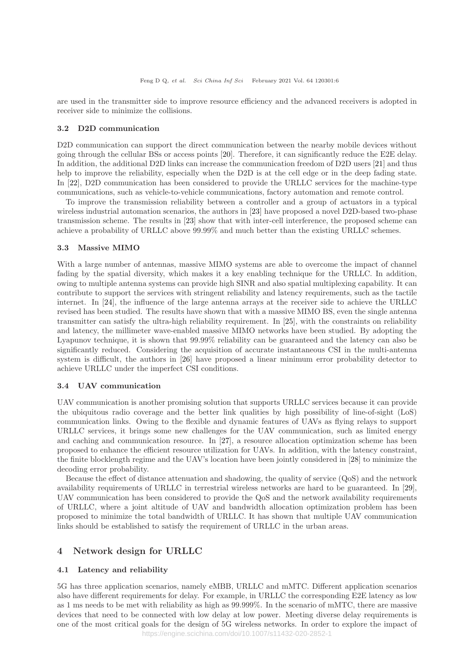are used in the transmitter side to improve resource efficiency and the advanced receivers is adopted in receiver side to minimize the collisions.

#### 3.2 D2D communication

D<sub>2</sub>D communication can support the direct communication between the nearby mobile devices without going through the cellular BSs or access points [20]. Therefore, it can significantly reduce the E2E delay. In addition, the additional D2D links can increase the communication freedom of D2D users [21] and thus help to improve the reliability, especially when the D2D is at the cell edge or in the deep fading state. In [22], D2D communication has been considered to provide the URLLC services for the machine-type communications, such as vehicle-to-vehicle communications, factory automation and remote control.

To improve the transmission reliability between a controller and a group of actuators in a typical wireless industrial automation scenarios, the authors in [23] have proposed a novel D2D-based two-phase transmission scheme. The results in [23] show that with inter-cell interference, the proposed scheme can achieve a probability of URLLC above 99.99% and much better than the existing URLLC schemes.

#### 3.3 Massive MIMO

With a large number of antennas, massive MIMO systems are able to overcome the impact of channel fading by the spatial diversity, which makes it a key enabling technique for the URLLC. In addition, owing to multiple antenna systems can provide high SINR and also spatial multiplexing capability. It can contribute to support the services with stringent reliability and latency requirements, such as the tactile internet. In [24], the influence of the large antenna arrays at the receiver side to achieve the URLLC revised has been studied. The results have shown that with a massive MIMO BS, even the single antenna transmitter can satisfy the ultra-high reliability requirement. In [25], with the constraints on reliability and latency, the millimeter wave-enabled massive MIMO networks have been studied. By adopting the Lyapunov technique, it is shown that 99.99% reliability can be guaranteed and the latency can also be significantly reduced. Considering the acquisition of accurate instantaneous CSI in the multi-antenna system is difficult, the authors in [26] have proposed a linear minimum error probability detector to achieve URLLC under the imperfect CSI conditions.

#### 3.4 UAV communication

UAV communication is another promising solution that supports URLLC services because it can provide the ubiquitous radio coverage and the better link qualities by high possibility of line-of-sight (LoS) communication links. Owing to the flexible and dynamic features of UAVs as flying relays to support URLLC services, it brings some new challenges for the UAV communication, such as limited energy and caching and communication resource. In [27], a resource allocation optimization scheme has been proposed to enhance the efficient resource utilization for UAVs. In addition, with the latency constraint, the finite blocklength regime and the UAV's location have been jointly considered in [28] to minimize the decoding error probability.

Because the effect of distance attenuation and shadowing, the quality of service (QoS) and the network availability requirements of URLLC in terrestrial wireless networks are hard to be guaranteed. In [29], UAV communication has been considered to provide the QoS and the network availability requirements of URLLC, where a joint altitude of UAV and bandwidth allocation optimization problem has been proposed to minimize the total bandwidth of URLLC. It has shown that multiple UAV communication links should be established to satisfy the requirement of URLLC in the urban areas.

## 4 Network design for URLLC

#### 4.1 Latency and reliability

5G has three application scenarios, namely eMBB, URLLC and mMTC. Different application scenarios also have different requirements for delay. For example, in URLLC the corresponding E2E latency as low as 1 ms needs to be met with reliability as high as 99.999%. In the scenario of mMTC, there are massive devices that need to be connected with low delay at low power. Meeting diverse delay requirements is one of the most critical goals for the design of 5G wireless networks. In order to explore the impact of https://engine.scichina.com/doi/10.1007/s11432-020-2852-1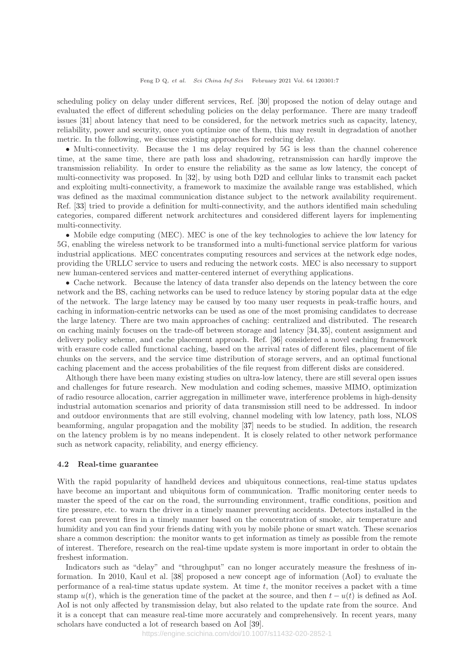scheduling policy on delay under different services, Ref. [30] proposed the notion of delay outage and evaluated the effect of different scheduling policies on the delay performance. There are many tradeoff issues [31] about latency that need to be considered, for the network metrics such as capacity, latency, reliability, power and security, once you optimize one of them, this may result in degradation of another metric. In the following, we discuss existing approaches for reducing delay.

• Multi-connectivity. Because the 1 ms delay required by 5G is less than the channel coherence time, at the same time, there are path loss and shadowing, retransmission can hardly improve the transmission reliability. In order to ensure the reliability as the same as low latency, the concept of multi-connectivity was proposed. In [32], by using both D2D and cellular links to transmit each packet and exploiting multi-connectivity, a framework to maximize the available range was established, which was defined as the maximal communication distance subject to the network availability requirement. Ref. [33] tried to provide a definition for multi-connectivity, and the authors identified main scheduling categories, compared different network architectures and considered different layers for implementing multi-connectivity.

• Mobile edge computing (MEC). MEC is one of the key technologies to achieve the low latency for 5G, enabling the wireless network to be transformed into a multi-functional service platform for various industrial applications. MEC concentrates computing resources and services at the network edge nodes, providing the URLLC service to users and reducing the network costs. MEC is also necessary to support new human-centered services and matter-centered internet of everything applications.

• Cache network. Because the latency of data transfer also depends on the latency between the core network and the BS, caching networks can be used to reduce latency by storing popular data at the edge of the network. The large latency may be caused by too many user requests in peak-traffic hours, and caching in information-centric networks can be used as one of the most promising candidates to decrease the large latency. There are two main approaches of caching: centralized and distributed. The research on caching mainly focuses on the trade-off between storage and latency [34, 35], content assignment and delivery policy scheme, and cache placement approach. Ref. [36] considered a novel caching framework with erasure code called functional caching, based on the arrival rates of different files, placement of file chunks on the servers, and the service time distribution of storage servers, and an optimal functional caching placement and the access probabilities of the file request from different disks are considered.

Although there have been many existing studies on ultra-low latency, there are still several open issues and challenges for future research. New modulation and coding schemes, massive MIMO, optimization of radio resource allocation, carrier aggregation in millimeter wave, interference problems in high-density industrial automation scenarios and priority of data transmission still need to be addressed. In indoor and outdoor environments that are still evolving, channel modeling with low latency, path loss, NLOS beamforming, angular propagation and the mobility [37] needs to be studied. In addition, the research on the latency problem is by no means independent. It is closely related to other network performance such as network capacity, reliability, and energy efficiency.

#### 4.2 Real-time guarantee

With the rapid popularity of handheld devices and ubiquitous connections, real-time status updates have become an important and ubiquitous form of communication. Traffic monitoring center needs to master the speed of the car on the road, the surrounding environment, traffic conditions, position and tire pressure, etc. to warn the driver in a timely manner preventing accidents. Detectors installed in the forest can prevent fires in a timely manner based on the concentration of smoke, air temperature and humidity and you can find your friends dating with you by mobile phone or smart watch. These scenarios share a common description: the monitor wants to get information as timely as possible from the remote of interest. Therefore, research on the real-time update system is more important in order to obtain the freshest information.

Indicators such as "delay" and "throughput" can no longer accurately measure the freshness of information. In 2010, Kaul et al. [38] proposed a new concept age of information (AoI) to evaluate the performance of a real-time status update system. At time  $t$ , the monitor receives a packet with a time stamp  $u(t)$ , which is the generation time of the packet at the source, and then  $t - u(t)$  is defined as AoI. AoI is not only affected by transmission delay, but also related to the update rate from the source. And it is a concept that can measure real-time more accurately and comprehensively. In recent years, many scholars have conducted a lot of research based on AoI [39].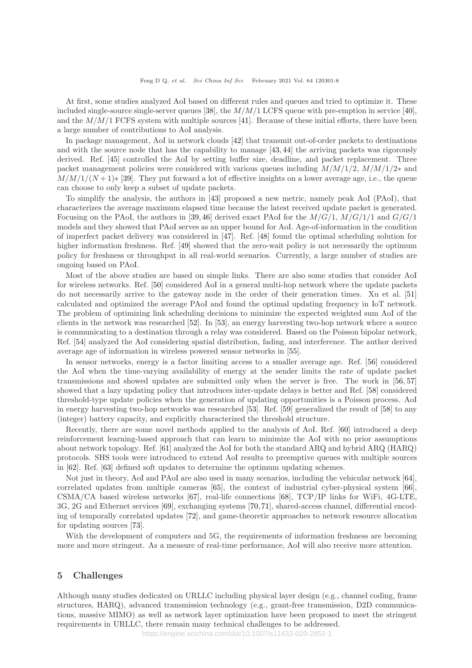At first, some studies analyzed AoI based on different rules and queues and tried to optimize it. These included single-source single-server queues [38], the  $M/M/1$  LCFS queue with pre-emption in service [40], and the  $M/M/1$  FCFS system with multiple sources [41]. Because of these initial efforts, there have been a large number of contributions to AoI analysis.

In package management, AoI in network clouds [42] that transmit out-of-order packets to destinations and with the source node that has the capability to manage [43, 44] the arriving packets was rigorously derived. Ref. [45] controlled the AoI by setting buffer size, deadline, and packet replacement. Three packet management policies were considered with various queues including  $M/M/1/2$ ,  $M/M/1/2$ <sup>\*</sup> and  $M/M/1/(N+1)$ <sup>\*</sup> [39]. They put forward a lot of effective insights on a lower average age, i.e., the queue can choose to only keep a subset of update packets.

To simplify the analysis, the authors in [43] proposed a new metric, namely peak AoI (PAoI), that characterizes the average maximum elapsed time because the latest received update packet is generated. Focusing on the PAoI, the authors in [39, 46] derived exact PAoI for the  $M/G/1$ ,  $M/G/1/1$  and  $G/G/1$ models and they showed that PAoI serves as an upper bound for AoI. Age-of-information in the condition of imperfect packet delivery was considered in [47]. Ref. [48] found the optimal scheduling solution for higher information freshness. Ref. [49] showed that the zero-wait policy is not necessarily the optimum policy for freshness or throughput in all real-world scenarios. Currently, a large number of studies are ongoing based on PAoI.

Most of the above studies are based on simple links. There are also some studies that consider AoI for wireless networks. Ref. [50] considered AoI in a general multi-hop network where the update packets do not necessarily arrive to the gateway node in the order of their generation times. Xu et al. [51] calculated and optimized the average PAoI and found the optimal updating frequency in IoT network. The problem of optimizing link scheduling decisions to minimize the expected weighted sum AoI of the clients in the network was researched [52]. In [53], an energy harvesting two-hop network where a source is communicating to a destination through a relay was considered. Based on the Poisson bipolar network, Ref. [54] analyzed the AoI considering spatial distribution, fading, and interference. The author derived average age of information in wireless powered sensor networks in [55].

In sensor networks, energy is a factor limiting access to a smaller average age. Ref. [56] considered the AoI when the time-varying availability of energy at the sender limits the rate of update packet transmissions and showed updates are submitted only when the server is free. The work in [56, 57] showed that a lazy updating policy that introduces inter-update delays is better and Ref. [58] considered threshold-type update policies when the generation of updating opportunities is a Poisson process. AoI in energy harvesting two-hop networks was researched [53]. Ref. [59] generalized the result of [58] to any (integer) battery capacity, and explicitly characterized the threshold structure.

Recently, there are some novel methods applied to the analysis of AoI. Ref. [60] introduced a deep reinforcement learning-based approach that can learn to minimize the AoI with no prior assumptions about network topology. Ref. [61] analyzed the AoI for both the standard ARQ and hybrid ARQ (HARQ) protocols. SHS tools were introduced to extend AoI results to preemptive queues with multiple sources in [62]. Ref. [63] defined soft updates to determine the optimum updating schemes.

Not just in theory, AoI and PAoI are also used in many scenarios, including the vehicular network [64], correlated updates from multiple cameras [65], the context of industrial cyber-physical system [66], CSMA/CA based wireless networks [67], real-life connections [68], TCP/IP links for WiFi, 4G-LTE, 3G, 2G and Ethernet services [69], exchanging systems [70,71], shared-access channel, differential encoding of temporally correlated updates [72], and game-theoretic approaches to network resource allocation for updating sources [73].

With the development of computers and 5G, the requirements of information freshness are becoming more and more stringent. As a measure of real-time performance, AoI will also receive more attention.

#### 5 Challenges

Although many studies dedicated on URLLC including physical layer design (e.g., channel coding, frame structures, HARQ), advanced transmission technology (e.g., grant-free transmission, D2D communications, massive MIMO) as well as network layer optimization have been proposed to meet the stringent requirements in URLLC, there remain many technical challenges to be addressed.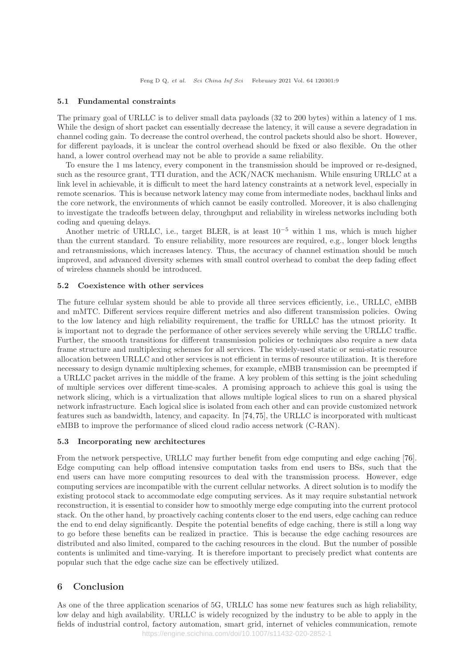#### 5.1 Fundamental constraints

The primary goal of URLLC is to deliver small data payloads (32 to 200 bytes) within a latency of 1 ms. While the design of short packet can essentially decrease the latency, it will cause a severe degradation in channel coding gain. To decrease the control overhead, the control packets should also be short. However, for different payloads, it is unclear the control overhead should be fixed or also flexible. On the other hand, a lower control overhead may not be able to provide a same reliability.

To ensure the 1 ms latency, every component in the transmission should be improved or re-designed, such as the resource grant, TTI duration, and the ACK/NACK mechanism. While ensuring URLLC at a link level in achievable, it is difficult to meet the hard latency constraints at a network level, especially in remote scenarios. This is because network latency may come from intermediate nodes, backhaul links and the core network, the environments of which cannot be easily controlled. Moreover, it is also challenging to investigate the tradeoffs between delay, throughput and reliability in wireless networks including both coding and queuing delays.

Another metric of URLLC, i.e., target BLER, is at least  $10^{-5}$  within 1 ms, which is much higher than the current standard. To ensure reliability, more resources are required, e.g., longer block lengths and retransmissions, which increases latency. Thus, the accuracy of channel estimation should be much improved, and advanced diversity schemes with small control overhead to combat the deep fading effect of wireless channels should be introduced.

#### 5.2 Coexistence with other services

The future cellular system should be able to provide all three services efficiently, i.e., URLLC, eMBB and mMTC. Different services require different metrics and also different transmission policies. Owing to the low latency and high reliability requirement, the traffic for URLLC has the utmost priority. It is important not to degrade the performance of other services severely while serving the URLLC traffic. Further, the smooth transitions for different transmission policies or techniques also require a new data frame structure and multiplexing schemes for all services. The widely-used static or semi-static resource allocation between URLLC and other services is not efficient in terms of resource utilization. It is therefore necessary to design dynamic multiplexing schemes, for example, eMBB transmission can be preempted if a URLLC packet arrives in the middle of the frame. A key problem of this setting is the joint scheduling of multiple services over different time-scales. A promising approach to achieve this goal is using the network slicing, which is a virtualization that allows multiple logical slices to run on a shared physical network infrastructure. Each logical slice is isolated from each other and can provide customized network features such as bandwidth, latency, and capacity. In [74,75], the URLLC is incorporated with multicast eMBB to improve the performance of sliced cloud radio access network (C-RAN).

#### 5.3 Incorporating new architectures

From the network perspective, URLLC may further benefit from edge computing and edge caching [76]. Edge computing can help offload intensive computation tasks from end users to BSs, such that the end users can have more computing resources to deal with the transmission process. However, edge computing services are incompatible with the current cellular networks. A direct solution is to modify the existing protocol stack to accommodate edge computing services. As it may require substantial network reconstruction, it is essential to consider how to smoothly merge edge computing into the current protocol stack. On the other hand, by proactively caching contents closer to the end users, edge caching can reduce the end to end delay significantly. Despite the potential benefits of edge caching, there is still a long way to go before these benefits can be realized in practice. This is because the edge caching resources are distributed and also limited, compared to the caching resources in the cloud. But the number of possible contents is unlimited and time-varying. It is therefore important to precisely predict what contents are popular such that the edge cache size can be effectively utilized.

### 6 Conclusion

As one of the three application scenarios of 5G, URLLC has some new features such as high reliability, low delay and high availability. URLLC is widely recognized by the industry to be able to apply in the fields of industrial control, factory automation, smart grid, internet of vehicles communication, remote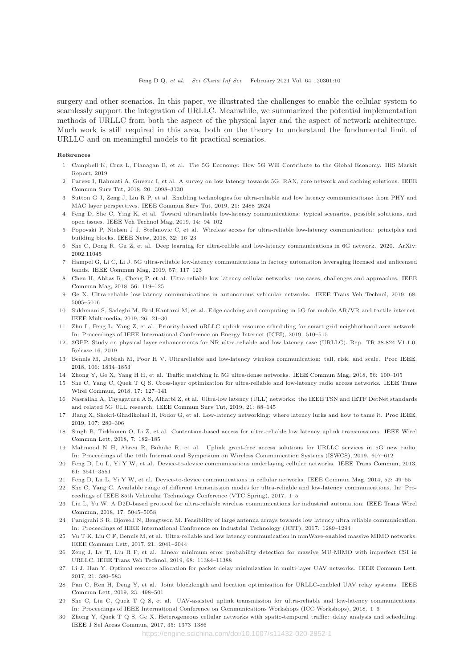surgery and other scenarios. In this paper, we illustrated the challenges to enable the cellular system to seamlessly support the integration of URLLC. Meanwhile, we summarized the potential implementation methods of URLLC from both the aspect of the physical layer and the aspect of network architecture. Much work is still required in this area, both on the theory to understand the fundamental limit of URLLC and on meaningful models to fit practical scenarios.

#### References

- 1 Campbell K, Cruz L, Flanagan B, et al. The 5G Economy: How 5G Will Contribute to the Global Economy. IHS Markit Report, 2019
- 2 Parvez I, Rahmati [A, Guvenc I, et al. A survey on low latency towards 5G: RAN, core network and caching solutions.](https://doi.org/10.1109/COMST.2018.2841349) IEEE Commun Surv Tut, 2018, 20: 3098–3130
- 3 Sutton G J, Zeng J, Liu R P, et al. Enabling technologies for ultra-reliable and low latency communications: from PHY and MAC layer perspectives. [IEEE Commun Surv Tut,](https://doi.org/10.1109/COMST.2019.2897800) 2019, 21: 2488–2524
- 4 Feng D, She C, Ying K, et al. Toward ultrareliable low-latency communications: typical scenarios, possible solutions, and open issues. [IEEE Veh Technol Mag,](https://doi.org/10.1109/MVT.2019.2903657) 2019, 14: 94–102
- 5 Popovski P, Nielsen J J, Stefanovic C, et al. Wireless access for ultra-reliable low-latency communication: principles and building blocks. [IEEE Netw,](https://doi.org/10.1109/MNET.2018.1700258) 2018, 32: 16–23
- 6 She C, Dong R, Gu Z, et al. Deep learning for ultra-relible and low-latency communications in 6G network. 2020. ArXiv: [2002.11045](https://arxiv.org/abs/2002.11045)
- 7 Hampel G, Li C, Li J. 5G ultra-reliable low-latency communications in factory automation leveraging licensed and unlicensed bands. [IEEE Commun Mag,](https://doi.org/10.1109/MCOM.2019.1601220) 2019, 57: 117–123
- 8 Chen H, Abbas R, Cheng P, et al. Ultra-reliable low latency cellular networks: use cases, challenges and approaches. IEEE Commun Mag[, 2018, 56: 119–125](https://doi.org/10.1109/MCOM.2018.1701178)
- 9 Ge X. Ultra-reliable low-latency communications in autonomous vehicular networks. [IEEE Trans Veh Technol,](https://doi.org/10.1109/TVT.2019.2903793) 2019, 68: 5005–5016
- 10 Sukhmani S, Sadeghi M, Erol-Kantarci M, et al. Edge caching and computing in 5G for mobile AR/VR and tactile internet. [IEEE Multimedia,](https://doi.org/10.1109/MMUL.2018.2879591) 2019, 26: 21–30
- 11 Zhu L, Feng L, Yang Z, et al. Priority-based uRLLC uplink resource scheduling for smart grid neighborhood area network. In: Proceedings of IEEE International Conference on Energy Internet (ICEI), 2019. 510–515
- 12 3GPP. Study on physical layer enhancements for NR ultra-reliable and low latency case (URLLC). Rep. TR 38.824 V1.1.0, Release 16, 2019
- 13 Bennis M, Debbah M, Poor H V. Ultrareliable and low-latency wireless communication: tail, risk, and scale. [Proc IEEE,](https://doi.org/10.1109/JPROC.2018.2867029) 2018, 106: 1834–1853
- 14 Zhong Y, Ge X, Yang H H, et al. Traffic matching in 5G ultra-dense networks. [IEEE Commun Mag,](https://doi.org/10.1109/MCOM.2018.1700956) 2018, 56: 100–105
- 15 She C, Yang C, [Quek T Q S. Cross-layer optimization for ultra-reliable and low-latency radio access networks.](https://doi.org/10.1109/TWC.2017.2762684) IEEE Trans Wirel Commun, 2018, 17: 127–141
- 16 Nasrallah A, Thyagaturu A S, Alharbi Z, et al. Ultra-low latency (ULL) networks: the IEEE TSN and IETF DetNet standards and related 5G ULL research. [IEEE Commun Surv Tut,](https://doi.org/10.1109/COMST.2018.2869350) 2019, 21: 88–145
- 17 Jiang X, Shokri-Ghadikolaei H, Fodor G, et al. Low-latency networking: where latency lurks and how to tame it. [Proc IEEE,](https://doi.org/10.1109/JPROC.2018.2863960) 2019, 107: 280–306
- 18 Singh B, Tirkkonen O, Li Z, et al. Contention-based access [for ultra-reliable low latency uplink transmissions.](https://doi.org/10.1109/LWC.2017.2763594) IEEE Wirel Commun Lett, 2018, 7: 182–185
- 19 Mahmood N H, Abreu R, Bohnke R, et al. Uplink grant-free access solutions for URLLC services in 5G new radio. In: Proceedings of the 16th International Symposium on Wireless Communication Systems (ISWCS), 2019. 607–612
- 20 Feng D, Lu L, Yi Y W, et al. Device-to-device communications underlaying cellular networks. [IEEE Trans Commun,](https://doi.org/10.1109/TCOMM.2013.071013.120787) 2013, 61: 3541–3551
- 21 Feng D, Lu L, Yi Y W, et al. Device-to-device communications in cellular networks. IEEE Commun Mag, 2014, 52: 49–55
- 22 She C, Yang C. Available range of different transmission modes for ultra-reliable and low-latency communications. In: Proceedings of IEEE 85th Vehicular Technology Conference (VTC Spring), 2017. 1–5
- 23 Liu L, Y[u W. A D2D-based protocol for ultra-reliable wireless communications for industrial automation.](https://doi.org/10.1109/TWC.2018.2836937) IEEE Trans Wirel Commun, 2018, 17: 5045–5058
- 24 Panigrahi S R, Bjorsell N, Bengtsson M. Feasibility of large antenna arrays towards low latency ultra reliable communication. In: Proceedings of IEEE International Conference on Industrial Technology (ICIT), 2017. 1289–1294
- 25 Vu T K, Liu C F, Bennis M, et al. Ultra-reliable and low latency communication in mmWave-enabled massive MIMO networks. [IEEE Commun Lett,](https://doi.org/10.1109/LCOMM.2017.2705148) 2017, 21: 2041–2044
- 26 Zeng J, Lv T, Liu R P, et al. Linear minimum error probability detection for massive MU-MIMO with imperfect CSI in URLLC. [IEEE Trans Veh Technol,](https://doi.org/10.1109/TVT.2019.2944489) 2019, 68: 11384–11388
- 27 Li J, Han Y. Optimal resource allocation for packet delay minimization in multi-layer UAV networks. [IEEE Commun Lett,](https://doi.org/10.1109/LCOMM.2016.2626293) 2017, 21: 580–583
- 28 Pan C, Ren [H, Deng Y, et al. Joint blocklength and location optimization for URLLC-enabled UAV relay systems.](https://doi.org/10.1109/LCOMM.2019.2894696) IEEE Commun Lett, 2019, 23: 498–501
- 29 She C, Liu C, Quek T Q S, et al. UAV-assisted uplink transmission for ultra-reliable and low-latency communications. In: Proceedings of IEEE International Conference on Communications Workshops (ICC Workshops), 2018. 1–6
- 30 Zhong Y, Quek T Q S, Ge X. Heterogeneous cellular networks with spatio-temporal traffic: delay analysis and scheduling. [IEEE J Sel Areas Commun,](https://doi.org/10.1109/JSAC.2017.2687379) 2017, 35: 1373–1386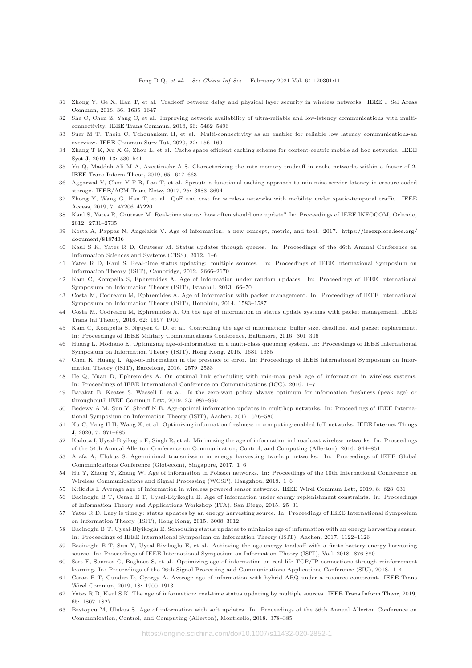- 31 Zhong Y[, Ge X, Han T, et al. Tradeoff between delay and physical layer security in wireless networks.](https://doi.org/10.1109/JSAC.2018.2825798) IEEE J Sel Areas Commun, 2018, 36: 1635–1647
- 32 She C, Chen Z, Yang C, et al. Improving network availability of ultra-reliable and low-latency communications with multiconnectivity. [IEEE Trans Commun,](https://doi.org/10.1109/TCOMM.2018.2851244) 2018, 66: 5482–5496
- 33 Suer M T, Thein C, Tchouankem H, et al. Multi-connectivity as an enabler for reliable low latency communications-an overview. [IEEE Commun Surv Tut,](https://doi.org/10.1109/COMST.2019.2949750) 2020, 22: 156–169
- 34 Zhang T K, Xu X G, Zhou L, et al. Cache space efficient caching scheme for content-centric mobile ad hoc networks. IEEE Syst J, 2019, 13: 530–541
- 35 Yu Q, Maddah-Ali M A, Avestimehr A S. Characterizing the rate-memory tradeoff in cache networks within a factor of 2. [IEEE Trans Inform Theor,](https://doi.org/10.1109/TIT.2018.2870566) 2019, 65: 647–663
- 36 Aggarwal V, Chen Y F R, Lan T, et al. Sprout: a functional caching approach to minimize service latency in erasure-coded storage. [IEEE/ACM Trans Netw,](https://doi.org/10.1109/TNET.2017.2749879) 2017, 25: 3683–3694
- 37 Zhong [Y, Wang G, Han T, et al. QoE and cost for wireless networks with mobility under spatio-temporal traffic.](https://doi.org/10.1109/ACCESS.2019.2909948) IEEE Access, 2019, 7: 47206–47220
- 38 Kaul S, Yates R, Gruteser M. Real-time status: how often should one update? In: Proceedings of IEEE INFOCOM, Orlando, 2012. 2731–2735
- 39 Kosta A, Pappas N, Angelakis V. Age of information: a new concept, metric, and tool. 2017. [https://ieeexplore.ieee.org/](https://ieeexplore.ieee.org/document/8187436) [document/8187436](https://ieeexplore.ieee.org/document/8187436)
- 40 Kaul S K, Yates R D, Gruteser M. Status updates through queues. In: Proceedings of the 46th Annual Conference on Information Sciences and Systems (CISS), 2012. 1–6
- 41 Yates R D, Kaul S. Real-time status updating: multiple sources. In: Proceedings of IEEE International Symposium on Information Theory (ISIT), Cambridge, 2012. 2666–2670
- 42 Kam C, Kompella S, Ephremides A. Age of information under random updates. In: Proceedings of IEEE International Symposium on Information Theory (ISIT), Istanbul, 2013. 66–70
- 43 Costa M, Codreanu M, Ephremides A. Age of information with packet management. In: Proceedings of IEEE International Symposium on Information Theory (ISIT), Honolulu, 2014. 1583–1587
- 44 Costa M, Codreanu M, Ephremides A. On the age of information in status update systems with packet management. IEEE Trans Inf Theory, 2016, 62: 1897–1910
- 45 Kam C, Kompella S, Nguyen G D, et al. Controlling the age of information: buffer size, deadline, and packet replacement. In: Proceedings of IEEE Military Communications Conference, Baltimore, 2016. 301–306
- 46 Huang L, Modiano E. Optimizing age-of-information in a multi-class queueing system. In: Proceedings of IEEE International Symposium on Information Theory (ISIT), Hong Kong, 2015. 1681–1685
- 47 Chen K, Huang L. Age-of-information in the presence of error. In: Proceedings of IEEE International Symposium on Information Theory (ISIT), Barcelona, 2016. 2579–2583
- 48 He Q, Yuan D, Ephremides A. On optimal link scheduling with min-max peak age of information in wireless systems. In: Proceedings of IEEE International Conference on Communications (ICC), 2016. 1–7
- 49 Barakat B, Keates S, Wassell I, et al. Is the zero-wait policy always optimum for information freshness (peak age) or throughput? [IEEE Commun Lett,](https://doi.org/10.1109/LCOMM.2019.2907935) 2019, 23: 987–990
- 50 Bedewy A M, Sun Y, Shroff N B. Age-optimal information updates in multihop networks. In: Proceedings of IEEE International Symposium on Information Theory (ISIT), Aachen, 2017. 576–580
- 51 Xu C, Yang H H, Wang X, et al. Optimizing information freshness in computing-enabled IoT networks. IEEE Internet Things J, 2020, 7: 971–985
- 52 Kadota I, Uysal-Biyikoglu E, Singh R, et al. Minimizing the age of information in broadcast wireless networks. In: Proceedings of the 54th Annual Allerton Conference on Communication, Control, and Computing (Allerton), 2016. 844–851
- 53 Arafa A, Ulukus S. Age-minimal transmission in energy harvesting two-hop networks. In: Proceedings of IEEE Global Communications Conference (Globecom), Singapore, 2017. 1–6
- 54 Hu Y, Zhong Y, Zhang W. Age of information in Poisson networks. In: Proceedings of the 10th International Conference on Wireless Communications and Signal Processing (WCSP), Hangzhou, 2018. 1–6
- 55 Krikidis I. Average age of information in wireless powered sensor networks. [IEEE Wirel Commun Lett,](https://doi.org/10.1109/LWC.2018.2890605) 2019, 8: 628–631
- 56 Bacinoglu B T, Ceran E T, Uysal-Biyikoglu E. Age of information under energy replenishment constraints. In: Proceedings of Information Theory and Applications Workshop (ITA), San Diego, 2015. 25–31
- 57 Yates R D. Lazy is timely: status updates by an energy harvesting source. In: Proceedings of IEEE International Symposium on Information Theory (ISIT), Hong Kong, 2015. 3008–3012
- 58 Bacinoglu B T, Uysal-Biyikoglu E. Scheduling status updates to minimize age of information with an energy harvesting sensor. In: Proceedings of IEEE International Symposium on Information Theory (ISIT), Aachen, 2017. 1122–1126
- 59 Bacinoglu B T, Sun Y, Uysal-Bivikoglu E, et al. Achieving the age-energy tradeoff with a finite-battery energy harvesting source. In: Proceedings of IEEE International Symposium on Information Theory (ISIT), Vail, 2018. 876-880
- 60 Sert E, Sonmez C, Baghaee S, et al. Optimizing age of information on real-life TCP/IP connections through reinforcement learning. In: Proceedings of the 26th Signal Processing and Communications Applications Conference (SIU), 2018. 1–4
- 61 Ceran E T, Gu[nduz D, Gyorgy A. Average age of information with hybrid ARQ under a resource constraint.](https://doi.org/10.1109/TWC.2019.2899303) IEEE Trans Wirel Commun, 2019, 18: 1900–1913
- 62 Yates R D, Kaul S K. The age of information: real-time status updating by multiple sources. [IEEE Trans Inform Theor,](https://doi.org/10.1109/TIT.2018.2871079) 2019, 65: 1807–1827
- 63 Bastopcu M, Ulukus S. Age of information with soft updates. In: Proceedings of the 56th Annual Allerton Conference on Communication, Control, and Computing (Allerton), Monticello, 2018. 378–385